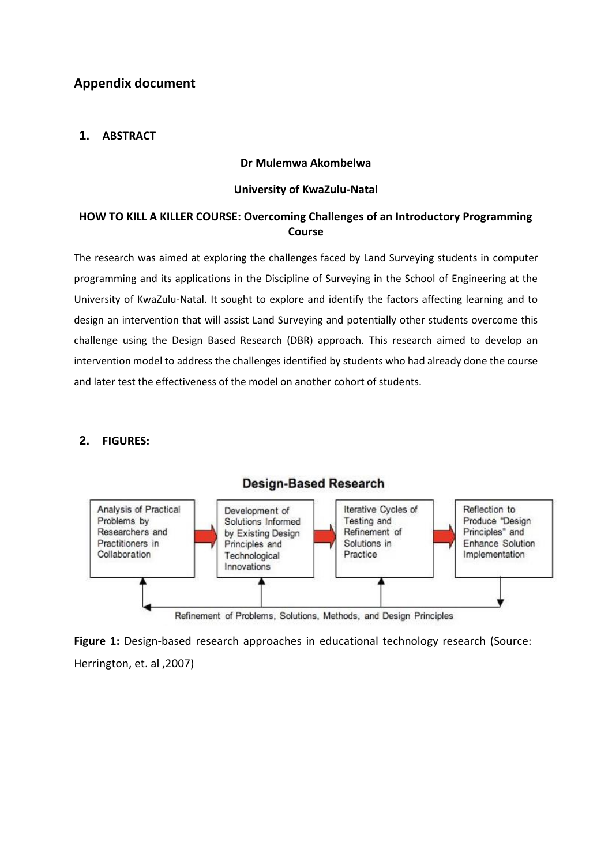# **Appendix document**

## **1. ABSTRACT**

### **Dr Mulemwa Akombelwa**

#### **University of KwaZulu-Natal**

## **HOW TO KILL A KILLER COURSE: Overcoming Challenges of an Introductory Programming Course**

The research was aimed at exploring the challenges faced by Land Surveying students in computer programming and its applications in the Discipline of Surveying in the School of Engineering at the University of KwaZulu-Natal. It sought to explore and identify the factors affecting learning and to design an intervention that will assist Land Surveying and potentially other students overcome this challenge using the Design Based Research (DBR) approach. This research aimed to develop an intervention model to address the challenges identified by students who had already done the course and later test the effectiveness of the model on another cohort of students.

### **2. FIGURES:**



Figure 1: Design-based research approaches in educational technology research (Source: Herrington, et. al ,2007)

## **Design-Based Research**